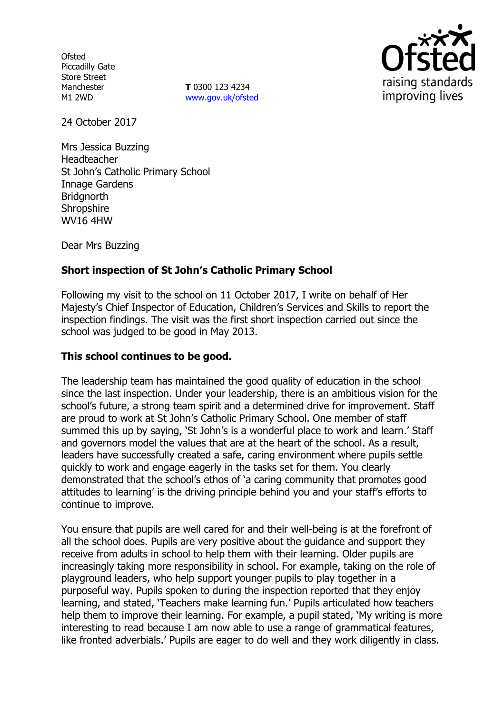**Ofsted** Piccadilly Gate Store Street Manchester M1 2WD

**T** 0300 123 4234 www.gov.uk/ofsted



24 October 2017

Mrs Jessica Buzzing Headteacher St John's Catholic Primary School Innage Gardens **Bridgnorth Shropshire** WV16 4HW

Dear Mrs Buzzing

# **Short inspection of St John's Catholic Primary School**

Following my visit to the school on 11 October 2017, I write on behalf of Her Majesty's Chief Inspector of Education, Children's Services and Skills to report the inspection findings. The visit was the first short inspection carried out since the school was judged to be good in May 2013.

### **This school continues to be good.**

The leadership team has maintained the good quality of education in the school since the last inspection. Under your leadership, there is an ambitious vision for the school's future, a strong team spirit and a determined drive for improvement. Staff are proud to work at St John's Catholic Primary School. One member of staff summed this up by saying, 'St John's is a wonderful place to work and learn.' Staff and governors model the values that are at the heart of the school. As a result, leaders have successfully created a safe, caring environment where pupils settle quickly to work and engage eagerly in the tasks set for them. You clearly demonstrated that the school's ethos of 'a caring community that promotes good attitudes to learning' is the driving principle behind you and your staff's efforts to continue to improve.

You ensure that pupils are well cared for and their well-being is at the forefront of all the school does. Pupils are very positive about the guidance and support they receive from adults in school to help them with their learning. Older pupils are increasingly taking more responsibility in school. For example, taking on the role of playground leaders, who help support younger pupils to play together in a purposeful way. Pupils spoken to during the inspection reported that they enjoy learning, and stated, 'Teachers make learning fun.' Pupils articulated how teachers help them to improve their learning. For example, a pupil stated, 'My writing is more interesting to read because I am now able to use a range of grammatical features, like fronted adverbials.' Pupils are eager to do well and they work diligently in class.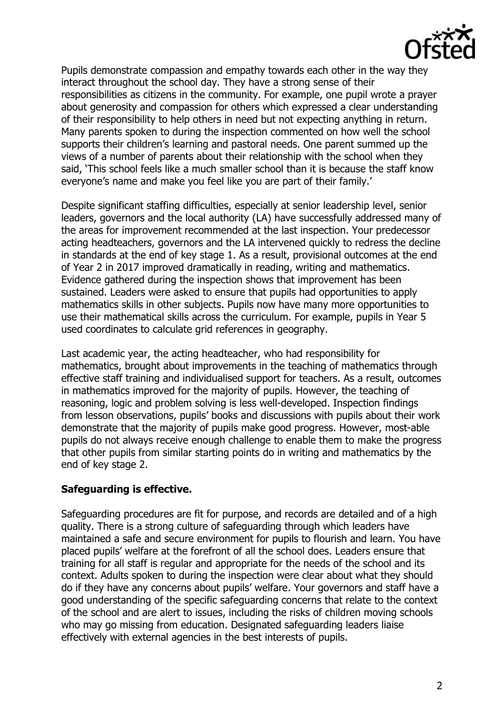

Pupils demonstrate compassion and empathy towards each other in the way they interact throughout the school day. They have a strong sense of their responsibilities as citizens in the community. For example, one pupil wrote a prayer about generosity and compassion for others which expressed a clear understanding of their responsibility to help others in need but not expecting anything in return. Many parents spoken to during the inspection commented on how well the school supports their children's learning and pastoral needs. One parent summed up the views of a number of parents about their relationship with the school when they said, 'This school feels like a much smaller school than it is because the staff know everyone's name and make you feel like you are part of their family.'

Despite significant staffing difficulties, especially at senior leadership level, senior leaders, governors and the local authority (LA) have successfully addressed many of the areas for improvement recommended at the last inspection. Your predecessor acting headteachers, governors and the LA intervened quickly to redress the decline in standards at the end of key stage 1. As a result, provisional outcomes at the end of Year 2 in 2017 improved dramatically in reading, writing and mathematics. Evidence gathered during the inspection shows that improvement has been sustained. Leaders were asked to ensure that pupils had opportunities to apply mathematics skills in other subjects. Pupils now have many more opportunities to use their mathematical skills across the curriculum. For example, pupils in Year 5 used coordinates to calculate grid references in geography.

Last academic year, the acting headteacher, who had responsibility for mathematics, brought about improvements in the teaching of mathematics through effective staff training and individualised support for teachers. As a result, outcomes in mathematics improved for the majority of pupils. However, the teaching of reasoning, logic and problem solving is less well-developed. Inspection findings from lesson observations, pupils' books and discussions with pupils about their work demonstrate that the majority of pupils make good progress. However, most-able pupils do not always receive enough challenge to enable them to make the progress that other pupils from similar starting points do in writing and mathematics by the end of key stage 2.

# **Safeguarding is effective.**

Safeguarding procedures are fit for purpose, and records are detailed and of a high quality. There is a strong culture of safeguarding through which leaders have maintained a safe and secure environment for pupils to flourish and learn. You have placed pupils' welfare at the forefront of all the school does. Leaders ensure that training for all staff is regular and appropriate for the needs of the school and its context. Adults spoken to during the inspection were clear about what they should do if they have any concerns about pupils' welfare. Your governors and staff have a good understanding of the specific safeguarding concerns that relate to the context of the school and are alert to issues, including the risks of children moving schools who may go missing from education. Designated safeguarding leaders liaise effectively with external agencies in the best interests of pupils.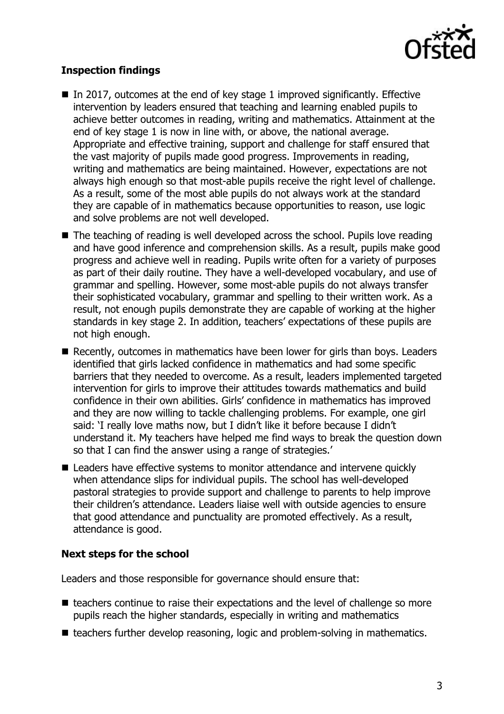

# **Inspection findings**

- In 2017, outcomes at the end of key stage 1 improved significantly. Effective intervention by leaders ensured that teaching and learning enabled pupils to achieve better outcomes in reading, writing and mathematics. Attainment at the end of key stage 1 is now in line with, or above, the national average. Appropriate and effective training, support and challenge for staff ensured that the vast majority of pupils made good progress. Improvements in reading, writing and mathematics are being maintained. However, expectations are not always high enough so that most-able pupils receive the right level of challenge. As a result, some of the most able pupils do not always work at the standard they are capable of in mathematics because opportunities to reason, use logic and solve problems are not well developed.
- The teaching of reading is well developed across the school. Pupils love reading and have good inference and comprehension skills. As a result, pupils make good progress and achieve well in reading. Pupils write often for a variety of purposes as part of their daily routine. They have a well-developed vocabulary, and use of grammar and spelling. However, some most-able pupils do not always transfer their sophisticated vocabulary, grammar and spelling to their written work. As a result, not enough pupils demonstrate they are capable of working at the higher standards in key stage 2. In addition, teachers' expectations of these pupils are not high enough.
- Recently, outcomes in mathematics have been lower for girls than boys. Leaders identified that girls lacked confidence in mathematics and had some specific barriers that they needed to overcome. As a result, leaders implemented targeted intervention for girls to improve their attitudes towards mathematics and build confidence in their own abilities. Girls' confidence in mathematics has improved and they are now willing to tackle challenging problems. For example, one girl said: 'I really love maths now, but I didn't like it before because I didn't understand it. My teachers have helped me find ways to break the question down so that I can find the answer using a range of strategies.'
- Leaders have effective systems to monitor attendance and intervene quickly when attendance slips for individual pupils. The school has well-developed pastoral strategies to provide support and challenge to parents to help improve their children's attendance. Leaders liaise well with outside agencies to ensure that good attendance and punctuality are promoted effectively. As a result, attendance is good.

### **Next steps for the school**

Leaders and those responsible for governance should ensure that:

- $\blacksquare$  teachers continue to raise their expectations and the level of challenge so more pupils reach the higher standards, especially in writing and mathematics
- teachers further develop reasoning, logic and problem-solving in mathematics.